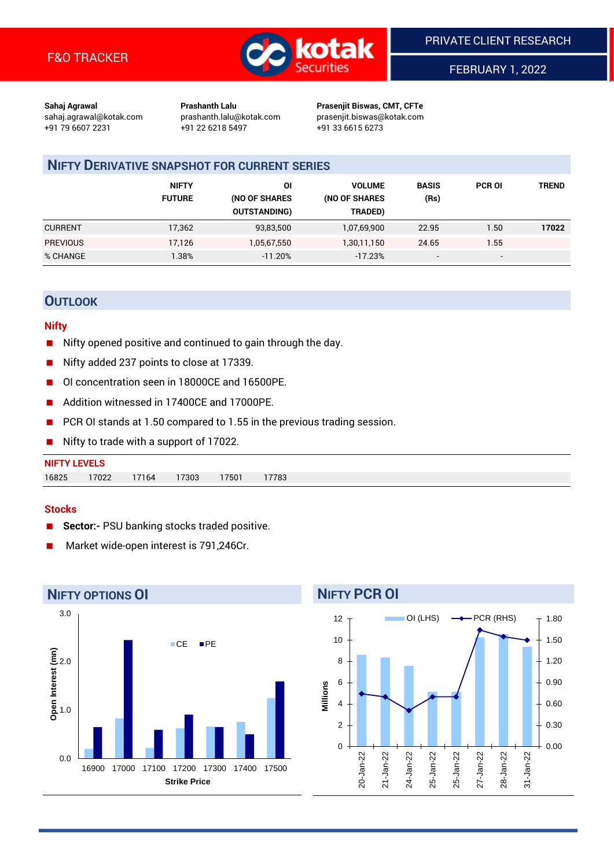

FEBRUARY 1, 2022

**Sahaj Agrawal Prashanth Lalu Prasenjit Biswas, CMT, CFTe** +91 79 6607 2231 +91 22 6218 5497 +91 33 6615 6273

sahaj.agrawal@kotak.com [prashanth.lalu@kotak.com](mailto:prashanth.lalu@kotak.com) prasenjit.biswas@kotak.com

## **NIFTY DERIVATIVE SNAPSHOT FOR CURRENT SERIES**

|                 | <b>NIFTY</b><br><b>FUTURE</b> | OI<br>(NO OF SHARES<br><b>OUTSTANDING)</b> | <b>VOLUME</b><br>(NO OF SHARES<br>TRADED) | <b>BASIS</b><br>(Rs)     | <b>PCR OI</b> | <b>TREND</b> |
|-----------------|-------------------------------|--------------------------------------------|-------------------------------------------|--------------------------|---------------|--------------|
| <b>CURRENT</b>  | 17,362                        | 93,83,500                                  | 1,07,69,900                               | 22.95                    | 1.50          | 17022        |
| <b>PREVIOUS</b> | 17.126                        | 1,05,67,550                                | 1,30,11,150                               | 24.65                    | 1.55          |              |
| % CHANGE        | .38%                          | $-11.20%$                                  | $-17.23%$                                 | $\overline{\phantom{0}}$ | -             |              |

## **OUTLOOK**

## **Nifty**

- Nifty opened positive and continued to gain through the day.
- Nifty added 237 points to close at 17339.
- OI concentration seen in 18000CE and 16500PE.
- Addition witnessed in 17400CE and 17000PE.
- PCR OI stands at 1.50 compared to 1.55 in the previous trading session.
- Nifty to trade with a support of 17022.

## **Stocks**

- **Sector:-** PSU banking stocks traded positive.
- Market wide-open interest is 791,246Cr.



# **NIFTY PCR OI**

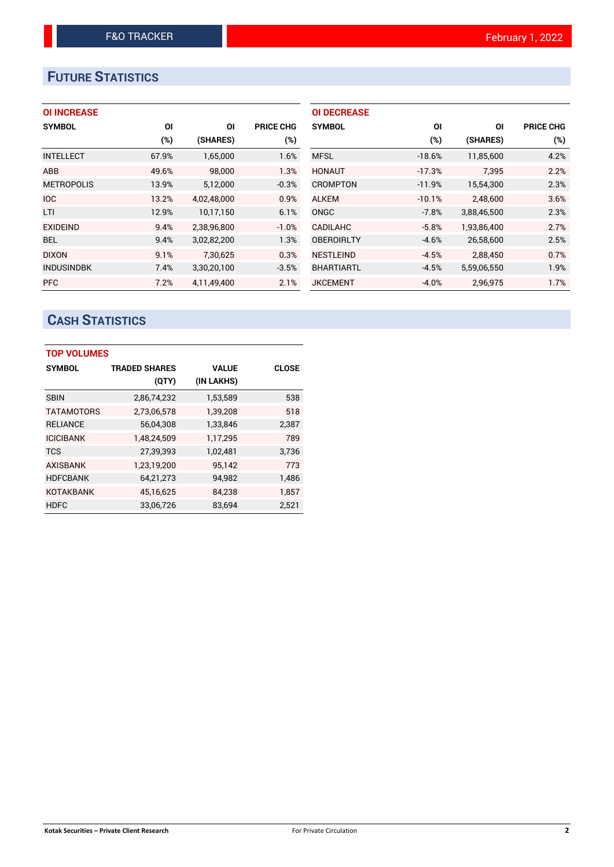## **FUTURE STATISTICS**

## **OI INCREASE**

| <b>SYMBOL</b>     | ΟI    | ΟI          | <b>PRICE CHG</b> |
|-------------------|-------|-------------|------------------|
|                   | (%)   | (SHARES)    | $(\%)$           |
| <b>INTELLECT</b>  | 67.9% | 1,65,000    | 1.6%             |
| ABB               | 49.6% | 98,000      | 1.3%             |
| <b>METROPOLIS</b> | 13.9% | 5,12,000    | $-0.3%$          |
| <b>IOC</b>        | 13.2% | 4,02,48,000 | 0.9%             |
| LTI               | 12.9% | 10,17,150   | 6.1%             |
| <b>EXIDEIND</b>   | 9.4%  | 2,38,96,800 | $-1.0%$          |
| <b>BEL</b>        | 9.4%  | 3,02,82,200 | 1.3%             |
| <b>DIXON</b>      | 9.1%  | 7,30,625    | 0.3%             |
| <b>INDUSINDBK</b> | 7.4%  | 3,30,20,100 | $-3.5%$          |
| <b>PFC</b>        | 7.2%  | 4.11.49.400 | 2.1%             |

| <b>OI DECREASE</b> |          |             |                  |
|--------------------|----------|-------------|------------------|
| <b>SYMBOL</b>      | ΟI       | ΟI          | <b>PRICE CHG</b> |
|                    | (%)      | (SHARES)    | (%)              |
| <b>MFSL</b>        | $-18.6%$ | 11,85,600   | 4.2%             |
| <b>HONAUT</b>      | $-17.3%$ | 7,395       | 2.2%             |
| <b>CROMPTON</b>    | $-11.9%$ | 15,54,300   | 2.3%             |
| <b>ALKEM</b>       | $-10.1%$ | 2,48,600    | 3.6%             |
| ONGC               | $-7.8%$  | 3,88,46,500 | 2.3%             |
| <b>CADILAHC</b>    | $-5.8%$  | 1,93,86,400 | 2.7%             |
| <b>OBEROIRLTY</b>  | $-4.6%$  | 26,58,600   | 2.5%             |
| <b>NESTLEIND</b>   | $-4.5%$  | 2,88,450    | 0.7%             |
| <b>BHARTIARTL</b>  | $-4.5%$  | 5,59,06,550 | 1.9%             |
| <b>JKCEMENT</b>    | $-4.0%$  | 2,96,975    | 1.7%             |

## **CASH STATISTICS**

| <b>TOP VOLUMES</b> |                      |              |              |
|--------------------|----------------------|--------------|--------------|
| <b>SYMBOL</b>      | <b>TRADED SHARES</b> | <b>VALUE</b> | <b>CLOSE</b> |
|                    | (QTY)                | (IN LAKHS)   |              |
| <b>SBIN</b>        | 2,86,74,232          | 1,53,589     | 538          |
| <b>TATAMOTORS</b>  | 2,73,06,578          | 1,39,208     | 518          |
| <b>RELIANCE</b>    | 56,04,308            | 1,33,846     | 2,387        |
| <b>ICICIBANK</b>   | 1,48,24,509          | 1,17,295     | 789          |
| <b>TCS</b>         | 27,39,393            | 1,02,481     | 3,736        |
| <b>AXISBANK</b>    | 1,23,19,200          | 95,142       | 773          |
| <b>HDFCBANK</b>    | 64,21,273            | 94,982       | 1.486        |
| <b>KOTAKBANK</b>   | 45,16,625            | 84,238       | 1,857        |
| <b>HDFC</b>        | 33,06,726            | 83,694       | 2.521        |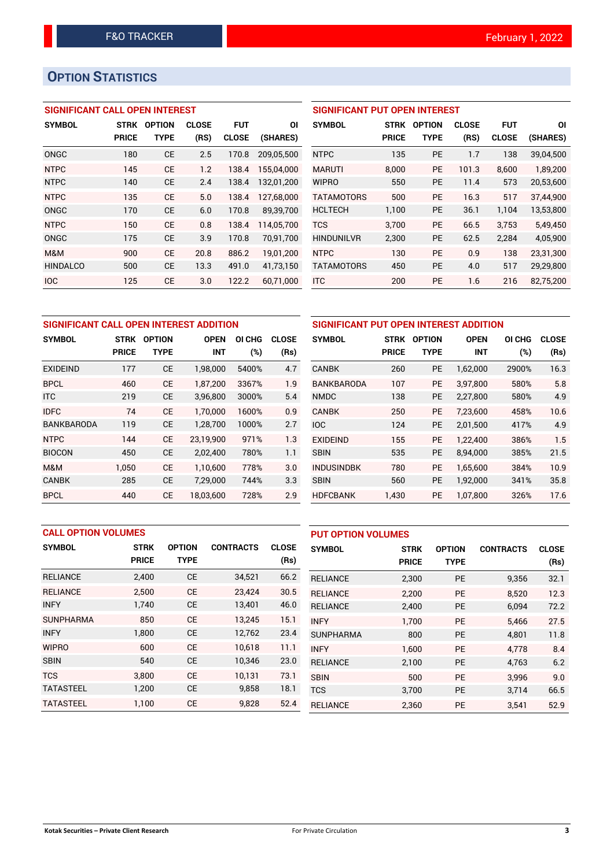## **OPTION STATISTICS**

## **SIGNIFICANT CALL OPEN INTEREST**

| <b>SYMBOL</b>   | <b>STRK</b>  | <b>OPTION</b> | <b>CLOSE</b> | <b>FUT</b>   | ΟI         |
|-----------------|--------------|---------------|--------------|--------------|------------|
|                 | <b>PRICE</b> | TYPE          | (RS)         | <b>CLOSE</b> | (SHARES)   |
| ONGC            | 180          | <b>CE</b>     | 2.5          | 170.8        | 209.05.500 |
| <b>NTPC</b>     | 145          | CF            | 1.2          | 138.4        | 155,04,000 |
| <b>NTPC</b>     | 140          | <b>CE</b>     | 2.4          | 138.4        | 132,01,200 |
| <b>NTPC</b>     | 135          | <b>CE</b>     | 5.0          | 138.4        | 127,68,000 |
| <b>ONGC</b>     | 170          | <b>CE</b>     | 6.0          | 170.8        | 89,39,700  |
| <b>NTPC</b>     | 150          | <b>CE</b>     | 0.8          | 138.4        | 114,05,700 |
| ONGC            | 175          | <b>CE</b>     | 3.9          | 170.8        | 70,91,700  |
| M&M             | 900          | <b>CE</b>     | 20.8         | 886.2        | 19,01,200  |
| <b>HINDALCO</b> | 500          | <b>CE</b>     | 13.3         | 491.0        | 41,73,150  |
| <b>IOC</b>      | 125          | СE            | 3.0          | 122.2        | 60.71.000  |

| <b>SIGNIFICANT PUT OPEN INTEREST</b> |              |               |              |              |           |
|--------------------------------------|--------------|---------------|--------------|--------------|-----------|
| <b>SYMBOL</b>                        | <b>STRK</b>  | <b>OPTION</b> | <b>CLOSE</b> | FUT          | ΟI        |
|                                      | <b>PRICE</b> | TYPE          | (RS)         | <b>CLOSE</b> | (SHARES)  |
| <b>NTPC</b>                          | 135          | PF            | 1.7          | 138          | 39,04,500 |
| <b>MARUTI</b>                        | 8.000        | <b>PE</b>     | 101.3        | 8.600        | 1,89,200  |
| <b>WIPRO</b>                         | 550          | PF            | 11.4         | 573          | 20,53,600 |
| <b>TATAMOTORS</b>                    | 500          | PF            | 16.3         | 517          | 37,44,900 |
| <b>HCLTECH</b>                       | 1,100        | PF            | 36.1         | 1,104        | 13,53,800 |
| <b>TCS</b>                           | 3,700        | <b>PE</b>     | 66.5         | 3.753        | 5,49,450  |
| <b>HINDUNILVR</b>                    | 2,300        | PE            | 62.5         | 2,284        | 4,05,900  |
| <b>NTPC</b>                          | 130          | <b>PE</b>     | 0.9          | 138          | 23,31,300 |
| <b>TATAMOTORS</b>                    | 450          | PF            | 4.0          | 517          | 29,29,800 |
| <b>ITC</b>                           | 200          | PF            | 1.6          | 216          | 82.75.200 |

| SIGNIFICANT CALL OPEN INTEREST ADDITION |              |               |             |        |              |
|-----------------------------------------|--------------|---------------|-------------|--------|--------------|
| <b>SYMBOL</b>                           | <b>STRK</b>  | <b>OPTION</b> | <b>OPEN</b> | OI CHG | <b>CLOSE</b> |
|                                         | <b>PRICE</b> | TYPE          | <b>INT</b>  | (%)    | (Rs)         |
| EXIDEIND                                | 177          | CЕ            | 1,98,000    | 5400%  | 4.7          |
| <b>BPCL</b>                             | 460          | СE            | 1,87,200    | 3367%  | 1.9          |
| <b>ITC</b>                              | 219          | <b>CE</b>     | 3,96,800    | 3000%  | 5.4          |
| <b>IDFC</b>                             | 74           | <b>CE</b>     | 1,70,000    | 1600%  | 0.9          |
| BANKBARODA                              | 119          | СE            | 1,28,700    | 1000%  | 2.7          |
| <b>NTPC</b>                             | 144          | <b>CE</b>     | 23,19,900   | 971%   | 1.3          |
| <b>BIOCON</b>                           | 450          | <b>CE</b>     | 2,02,400    | 780%   | 1.1          |
| M&M                                     | 1,050        | <b>CE</b>     | 1,10,600    | 778%   | 3.0          |
| <b>CANBK</b>                            | 285          | CЕ            | 7,29,000    | 744%   | 3.3          |
| <b>BPCL</b>                             | 440          | СE            | 18.03.600   | 728%   | 2.9          |

|                   | SIGNIFICANT PUT OPEN INTEREST ADDITION |               |             |        |       |
|-------------------|----------------------------------------|---------------|-------------|--------|-------|
| <b>SYMBOL</b>     | <b>STRK</b>                            | <b>OPTION</b> | <b>OPEN</b> | OI CHG | CLOSE |
|                   | <b>PRICE</b>                           | TYPE          | INT         | $(\%)$ | (Rs)  |
| <b>CANBK</b>      | 260                                    | <b>PE</b>     | 1,62,000    | 2900%  | 16.3  |
| <b>BANKBARODA</b> | 107                                    | <b>PE</b>     | 3,97,800    | 580%   | 5.8   |
| <b>NMDC</b>       | 138                                    | <b>PE</b>     | 2,27,800    | 580%   | 4.9   |
| <b>CANBK</b>      | 250                                    | <b>PE</b>     | 7,23,600    | 458%   | 10.6  |
| <b>IOC</b>        | 124                                    | <b>PE</b>     | 2,01,500    | 417%   | 4.9   |
| <b>EXIDEIND</b>   | 155                                    | <b>PE</b>     | 1,22,400    | 386%   | 1.5   |
| <b>SBIN</b>       | 535                                    | <b>PE</b>     | 8,94,000    | 385%   | 21.5  |
| <b>INDUSINDBK</b> | 780                                    | <b>PE</b>     | 1,65,600    | 384%   | 10.9  |
| <b>SBIN</b>       | 560                                    | <b>PE</b>     | 1,92,000    | 341%   | 35.8  |
| <b>HDFCBANK</b>   | 1,430                                  | <b>PE</b>     | 1,07,800    | 326%   | 17.6  |

| <b>CALL OPTION VOLUMES</b> |              |               |                  |              | <b>PUT OPTION VOLUMES</b> |              |               |                  |              |
|----------------------------|--------------|---------------|------------------|--------------|---------------------------|--------------|---------------|------------------|--------------|
| <b>SYMBOL</b>              | <b>STRK</b>  | <b>OPTION</b> | <b>CONTRACTS</b> | <b>CLOSE</b> | <b>SYMBOL</b>             | <b>STRK</b>  | <b>OPTION</b> | <b>CONTRACTS</b> | <b>CLOSE</b> |
|                            | <b>PRICE</b> | <b>TYPE</b>   |                  | (Rs)         |                           | <b>PRICE</b> | <b>TYPE</b>   |                  | (Rs)         |
| <b>RELIANCE</b>            | 2,400        | <b>CE</b>     | 34,521           | 66.2         | <b>RELIANCE</b>           | 2,300        | <b>PE</b>     | 9,356            | 32.1         |
| <b>RELIANCE</b>            | 2.500        | <b>CE</b>     | 23,424           | 30.5         | <b>RELIANCE</b>           | 2,200        | <b>PE</b>     | 8.520            | 12.3         |
| <b>INFY</b>                | 1.740        | <b>CE</b>     | 13,401           | 46.0         | <b>RELIANCE</b>           | 2,400        | PE            | 6,094            | 72.2         |
| <b>SUNPHARMA</b>           | 850          | <b>CE</b>     | 13.245           | 15.1         | <b>INFY</b>               | 1.700        | <b>PE</b>     | 5.466            | 27.5         |
| <b>INFY</b>                | 1,800        | <b>CE</b>     | 12,762           | 23.4         | <b>SUNPHARMA</b>          | 800          | <b>PE</b>     | 4.801            | 11.8         |
| <b>WIPRO</b>               | 600          | <b>CE</b>     | 10.618           | 11.1         | <b>INFY</b>               | 1.600        | <b>PE</b>     | 4.778            | 8.4          |
| <b>SBIN</b>                | 540          | <b>CE</b>     | 10,346           | 23.0         | <b>RELIANCE</b>           | 2,100        | <b>PE</b>     | 4,763            | 6.2          |
| <b>TCS</b>                 | 3.800        | <b>CE</b>     | 10.131           | 73.1         | <b>SBIN</b>               | 500          | <b>PE</b>     | 3.996            | 9.0          |
| <b>TATASTEEL</b>           | 1,200        | <b>CE</b>     | 9,858            | 18.1         | <b>TCS</b>                | 3,700        | <b>PE</b>     | 3,714            | 66.5         |
| <b>TATASTEEL</b>           | 1.100        | <b>CE</b>     | 9,828            | 52.4         | <b>RELIANCE</b>           | 2,360        | <b>PE</b>     | 3.541            | 52.9         |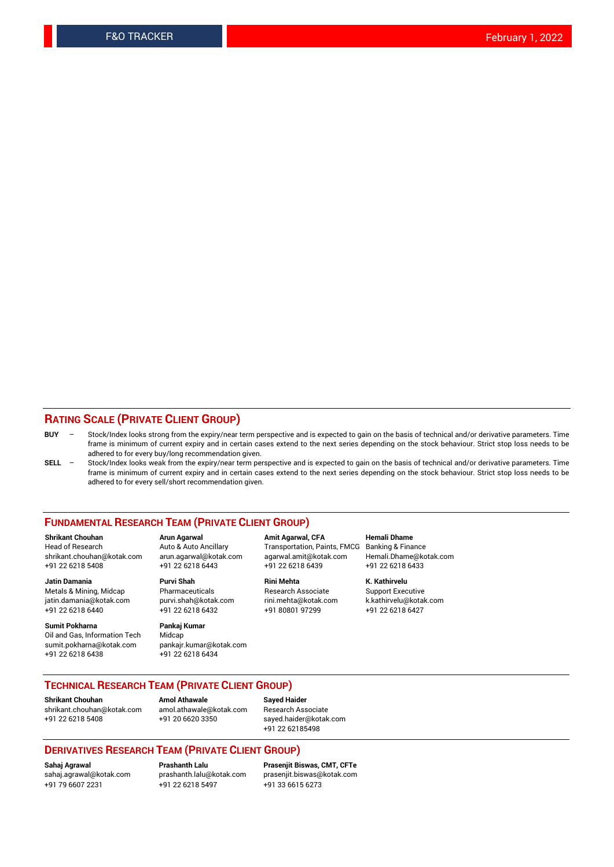## **RATING SCALE (PRIVATE CLIENT GROUP)**

| $BUY -$ | Stock/Index looks strong from the expiry/near term perspective and is expected to gain on the basis of technical and/or derivative parameters. Time |
|---------|-----------------------------------------------------------------------------------------------------------------------------------------------------|
|         | frame is minimum of current expiry and in certain cases extend to the next series depending on the stock behaviour. Strict stop loss needs to be    |
|         | adhered to for every buy/long recommendation given.                                                                                                 |

**SELL** – Stock/Index looks weak from the expiry/near term perspective and is expected to gain on the basis of technical and/or derivative parameters. Time frame is minimum of current expiry and in certain cases extend to the next series depending on the stock behaviour. Strict stop loss needs to be adhered to for every sell/short recommendation given.

#### **FUNDAMENTAL RESEARCH TEAM (PRIVATE CLIENT GROUP)**

**Shrikant Chouhan Arun Agarwal Amit Agarwal, CFA Hemali Dhame** shrikant.chouhan@kotak.com arun.agarwal@kotak.com agarwal.amit@kotak.com Hemali.Dhame@kotak.com +91 22 6218 5408 +91 22 6218 6443 +91 22 6218 6439 +91 22 6218 6433

Metals & Mining, Midcap Pharmaceuticals Research Associate Support Executive<br>
iatin.damania@kotak.com purvi.shah@kotak.com rini.mehta@kotak.com k.kathirvelu@kotak.com jatin.damania@kotak.com +91 22 6218 6440 +91 22 6218 6432 +91 80801 97299 +91 22 6218 6427

**Sumit Pokharna** Pankaj Kumar<br>Oil and Gas, Information Tech Midcap Oil and Gas, Information Tech sumit.pokharna@kotak.com pankajr.kumar@kotak.com +91 22 6218 6438 +91 22 6218 6434

**Jatin Damania Purvi Shah Rini Mehta K. Kathirvelu**

Transportation, Paints, FMCG Banking & Finance

## **TECHNICAL RESEARCH TEAM (PRIVATE CLIENT GROUP) Shrikant Chouhan Amol Athawale Sayed Haider**

[shrikant.chouhan@kotak.com](mailto:shrikant.chouhan@kotak.com) [amol.athawale@kotak.com](mailto:amol.athawale@kotak.com) Research Associate +91 22 6218 5408 +91 20 6620 3350 [sayed.haider@kotak.com](mailto:sayed.haider@kotak.com)

+91 22 62185498

### **DERIVATIVES RESEARCH TEAM (PRIVATE CLIENT GROUP)**

+91 79 6607 2231 +91 22 6218 5497 +91 33 6615 6273

**Sahaj Agrawal Prashanth Lalu Prasenjit Biswas, CMT, CFTe** [prasenjit.biswas@kotak.com](mailto:prasenjit.biswas@kotak.com)